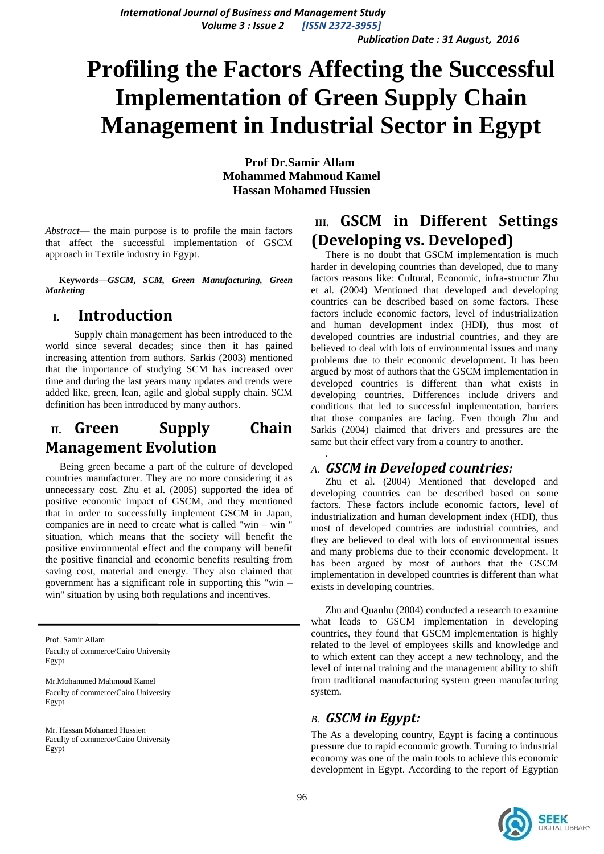*International Journal of Business and Management Study Volume 3 : Issue 2 [ISSN 2372-3955] Publication Date : 31 August, 2016*

# **Profiling the Factors Affecting the Successful Implementation of Green Supply Chain Management in Industrial Sector in Egypt**

.

**Prof Dr.Samir Allam Mohammed Mahmoud Kamel Hassan Mohamed Hussien**

*Abstract*— the main purpose is to profile the main factors that affect the successful implementation of GSCM approach in Textile industry in Egypt.

**Keywords—***GSCM, SCM, Green Manufacturing, Green Marketing*

## **I. Introduction**

Supply chain management has been introduced to the world since several decades; since then it has gained increasing attention from authors. Sarkis (2003) mentioned that the importance of studying SCM has increased over time and during the last years many updates and trends were added like, green, lean, agile and global supply chain. SCM definition has been introduced by many authors.

# **II. Green Supply Chain Management Evolution**

Being green became a part of the culture of developed countries manufacturer. They are no more considering it as unnecessary cost. Zhu et al. (2005) supported the idea of positive economic impact of GSCM, and they mentioned that in order to successfully implement GSCM in Japan, companies are in need to create what is called "win – win " situation, which means that the society will benefit the positive environmental effect and the company will benefit the positive financial and economic benefits resulting from saving cost, material and energy. They also claimed that government has a significant role in supporting this "win – win" situation by using both regulations and incentives.

Prof. Samir Allam Faculty of commerce/Cairo University Egypt

Mr.Mohammed Mahmoud Kamel Faculty of commerce/Cairo University Egypt

Mr. Hassan Mohamed Hussien Faculty of commerce/Cairo University Egypt

# **III. GSCM in Different Settings (Developing vs. Developed)**

There is no doubt that GSCM implementation is much harder in developing countries than developed, due to many factors reasons like: Cultural, Economic, infra-structur Zhu et al. (2004) Mentioned that developed and developing countries can be described based on some factors. These factors include economic factors, level of industrialization and human development index (HDI), thus most of developed countries are industrial countries, and they are believed to deal with lots of environmental issues and many problems due to their economic development. It has been argued by most of authors that the GSCM implementation in developed countries is different than what exists in developing countries. Differences include drivers and conditions that led to successful implementation, barriers that those companies are facing. Even though Zhu and Sarkis (2004) claimed that drivers and pressures are the same but their effect vary from a country to another.

#### *A. GSCM in Developed countries:*

Zhu et al. (2004) Mentioned that developed and developing countries can be described based on some factors. These factors include economic factors, level of industrialization and human development index (HDI), thus most of developed countries are industrial countries, and they are believed to deal with lots of environmental issues and many problems due to their economic development. It has been argued by most of authors that the GSCM implementation in developed countries is different than what exists in developing countries.

 Zhu and Quanhu (2004) conducted a research to examine what leads to GSCM implementation in developing countries, they found that GSCM implementation is highly related to the level of employees skills and knowledge and to which extent can they accept a new technology, and the level of internal training and the management ability to shift from traditional manufacturing system green manufacturing system.

## *B. GSCM in Egypt:*

The As a developing country, Egypt is facing a continuous pressure due to rapid economic growth. Turning to industrial economy was one of the main tools to achieve this economic development in Egypt. According to the report of [Egyptian](http://www.eeaa.gov.eg/) 

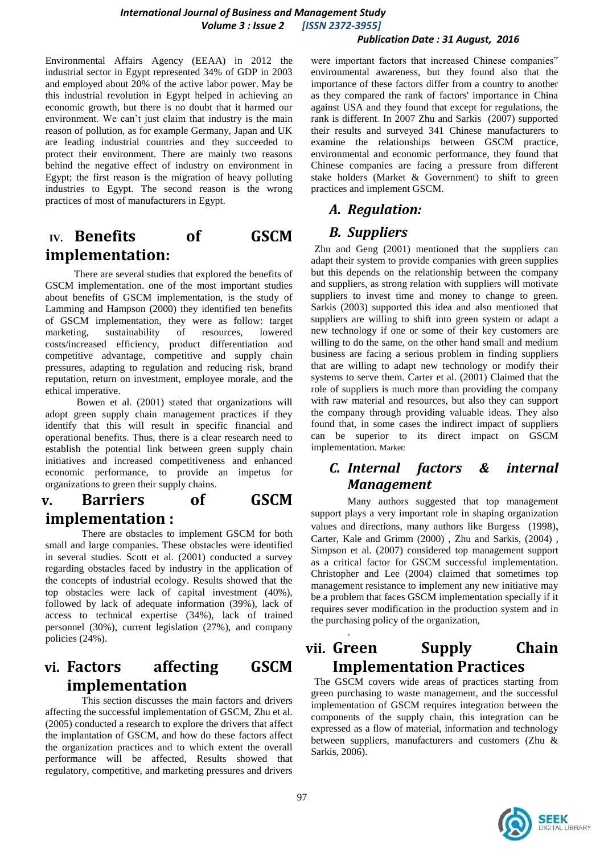#### *International Journal of Business and Management Study Volume 3 : Issue 2 [ISSN 2372-3955]*

#### *Publication Date : 31 August, 2016*

[Environmental Affairs Agency](http://www.eeaa.gov.eg/) (EEAA) in 2012 the industrial sector in Egypt represented 34% of GDP in 2003 and employed about 20% of the active labor power. May be this industrial revolution in Egypt helped in achieving an economic growth, but there is no doubt that it harmed our environment. We can't just claim that industry is the main reason of pollution, as for example Germany, Japan and UK are leading industrial countries and they succeeded to protect their environment. There are mainly two reasons behind the negative effect of industry on environment in Egypt; the first reason is the migration of heavy polluting industries to Egypt. The second reason is the wrong practices of most of manufacturers in Egypt.

# **IV. Benefits of GSCM implementation:**

There are several studies that explored the benefits of GSCM implementation. one of the most important studies about benefits of GSCM implementation, is the study of Lamming and Hampson (2000) they identified ten benefits of GSCM implementation, they were as follow: target marketing, sustainability of resources, lowered costs/increased efficiency, product differentiation and competitive advantage, competitive and supply chain pressures, adapting to regulation and reducing risk, brand reputation, return on investment, employee morale, and the ethical imperative.

Bowen et al. (2001) stated that organizations will adopt green supply chain management practices if they identify that this will result in specific financial and operational benefits. Thus, there is a clear research need to establish the potential link between green supply chain initiatives and increased competitiveness and enhanced economic performance, to provide an impetus for organizations to green their supply chains.

## **v. Barriers of GSCM implementation :**

There are obstacles to implement GSCM for both small and large companies. These obstacles were identified in several studies. Scott et al. (2001) conducted a survey regarding obstacles faced by industry in the application of the concepts of industrial ecology. Results showed that the top obstacles were lack of capital investment (40%), followed by lack of adequate information (39%), lack of access to technical expertise (34%), lack of trained personnel (30%), current legislation (27%), and company policies (24%).

# **vi. Factors affecting GSCM implementation**

This section discusses the main factors and drivers affecting the successful implementation of GSCM, Zhu et al. (2005) conducted a research to explore the drivers that affect the implantation of GSCM, and how do these factors affect the organization practices and to which extent the overall performance will be affected, Results showed that regulatory, competitive, and marketing pressures and drivers

were important factors that increased Chinese companies" environmental awareness, but they found also that the importance of these factors differ from a country to another as they compared the rank of factors' importance in China against USA and they found that except for regulations, the rank is different. In 2007 Zhu and Sarkis (2007) supported their results and surveyed 341 Chinese manufacturers to examine the relationships between GSCM practice, environmental and economic performance, they found that Chinese companies are facing a pressure from different stake holders (Market & Government) to shift to green practices and implement GSCM.

## *A. Regulation:*

#### *B. Suppliers*

Zhu and Geng (2001) mentioned that the suppliers can adapt their system to provide companies with green supplies but this depends on the relationship between the company and suppliers, as strong relation with suppliers will motivate suppliers to invest time and money to change to green. Sarkis (2003) supported this idea and also mentioned that suppliers are willing to shift into green system or adapt a new technology if one or some of their key customers are willing to do the same, on the other hand small and medium business are facing a serious problem in finding suppliers that are willing to adapt new technology or modify their systems to serve them. Carter et al. (2001) Claimed that the role of suppliers is much more than providing the company with raw material and resources, but also they can support the company through providing valuable ideas. They also found that, in some cases the indirect impact of suppliers can be superior to its direct impact on GSCM implementation. Market:

## *C. Internal factors & internal Management*

Many authors suggested that top management support plays a very important role in shaping organization values and directions, many authors like Burgess (1998), Carter, Kale and Grimm (2000) , Zhu and Sarkis, (2004) , Simpson et al. (2007) considered top management support as a critical factor for GSCM successful implementation. Christopher and Lee (2004) claimed that sometimes top management resistance to implement any new initiative may be a problem that faces GSCM implementation specially if it requires sever modification in the production system and in the purchasing policy of the organization,

# **vii. Green Supply Chain Implementation Practices**

The GSCM covers wide areas of practices starting from green purchasing to waste management, and the successful implementation of GSCM requires integration between the components of the supply chain, this integration can be expressed as a flow of material, information and technology between suppliers, manufacturers and customers (Zhu & Sarkis, 2006).



.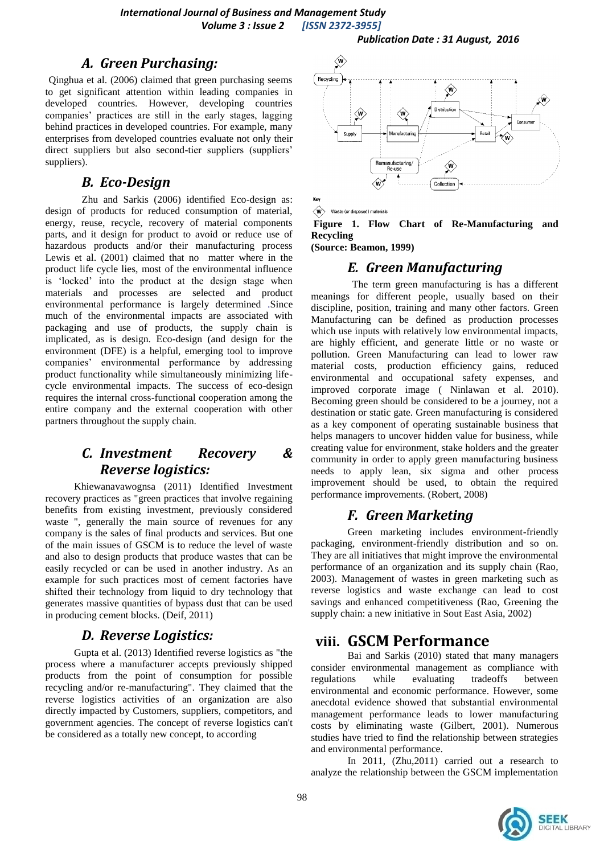#### *A. Green Purchasing:*

Qinghua et al. (2006) claimed that green purchasing seems to get significant attention within leading companies in developed countries. However, developing countries companies' practices are still in the early stages, lagging behind practices in developed countries. For example, many enterprises from developed countries evaluate not only their direct suppliers but also second-tier suppliers (suppliers' suppliers).

#### *B. Eco-Design*

Zhu and Sarkis (2006) identified Eco-design as: design of products for reduced consumption of material, energy, reuse, recycle, recovery of material components parts, and it design for product to avoid or reduce use of hazardous products and/or their manufacturing process Lewis et al. (2001) claimed that no matter where in the product life cycle lies, most of the environmental influence is 'locked' into the product at the design stage when materials and processes are selected and product environmental performance is largely determined .Since much of the environmental impacts are associated with packaging and use of products, the supply chain is implicated, as is design. Eco-design (and design for the environment (DFE) is a helpful, emerging tool to improve companies' environmental performance by addressing product functionality while simultaneously minimizing lifecycle environmental impacts. The success of eco-design requires the internal cross-functional cooperation among the entire company and the external cooperation with other partners throughout the supply chain.

# *C. Investment Recovery & Reverse logistics:*

Khiewanavawognsa (2011) Identified Investment recovery practices as "green practices that involve regaining benefits from existing investment, previously considered waste ", generally the main source of revenues for any company is the sales of final products and services. But one of the main issues of GSCM is to reduce the level of waste and also to design products that produce wastes that can be easily recycled or can be used in another industry. As an example for such practices most of cement factories have shifted their technology from liquid to dry technology that generates massive quantities of bypass dust that can be used in producing cement blocks. (Deif, 2011)

## *D. Reverse Logistics:*

Gupta et al. (2013) Identified reverse logistics as "the process where a manufacturer accepts previously shipped products from the point of consumption for possible recycling and/or re-manufacturing". They claimed that the reverse logistics activities of an organization are also directly impacted by Customers, suppliers, competitors, and government agencies. The concept of reverse logistics can't be considered as a totally new concept, to according



 $\langle \mathbf{W} \rangle$  Waste (or disposed) materials

**Figure 1. Flow Chart of Re-Manufacturing and Recycling**

**(Source: Beamon, 1999)**

## *E. Green Manufacturing*

The term green manufacturing is has a different meanings for different people, usually based on their discipline, position, training and many other factors. Green Manufacturing can be defined as production processes which use inputs with relatively low environmental impacts, are highly efficient, and generate little or no waste or pollution. Green Manufacturing can lead to lower raw material costs, production efficiency gains, reduced environmental and occupational safety expenses, and improved corporate image ( Ninlawan et al. 2010). Becoming green should be considered to be a journey, not a destination or static gate. Green manufacturing is considered as a key component of operating sustainable business that helps managers to uncover hidden value for business, while creating value for environment, stake holders and the greater community in order to apply green manufacturing business needs to apply lean, six sigma and other process improvement should be used, to obtain the required performance improvements. (Robert, 2008)

## *F. Green Marketing*

Green marketing includes environment-friendly packaging, environment-friendly distribution and so on. They are all initiatives that might improve the environmental performance of an organization and its supply chain (Rao, 2003). Management of wastes in green marketing such as reverse logistics and waste exchange can lead to cost savings and enhanced competitiveness (Rao, Greening the supply chain: a new initiative in Sout East Asia, 2002)

## **viii. GSCM Performance**

Bai and Sarkis (2010) stated that many managers consider environmental management as compliance with regulations while evaluating tradeoffs between environmental and economic performance. However, some anecdotal evidence showed that substantial environmental management performance leads to lower manufacturing costs by eliminating waste (Gilbert, 2001). Numerous studies have tried to find the relationship between strategies and environmental performance.

In 2011, (Zhu,2011) carried out a research to analyze the relationship between the GSCM implementation

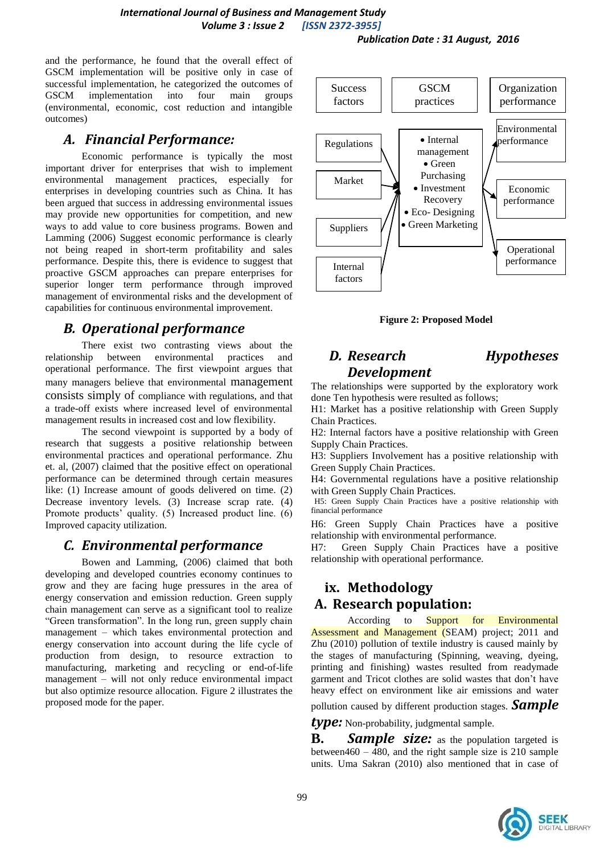*Publication Date : 31 August, 2016*

and the performance, he found that the overall effect of GSCM implementation will be positive only in case of successful implementation, he categorized the outcomes of GSCM implementation into four main groups (environmental, economic, cost reduction and intangible outcomes)

#### *A. Financial Performance:*

Economic performance is typically the most important driver for enterprises that wish to implement environmental management practices, especially for enterprises in developing countries such as China. It has been argued that success in addressing environmental issues may provide new opportunities for competition, and new ways to add value to core business programs. Bowen and Lamming (2006) Suggest economic performance is clearly not being reaped in short-term profitability and sales performance. Despite this, there is evidence to suggest that proactive GSCM approaches can prepare enterprises for superior longer term performance through improved management of environmental risks and the development of capabilities for continuous environmental improvement.

# *B. Operational performance*

There exist two contrasting views about the relationship between environmental practices and operational performance. The first viewpoint argues that many managers believe that environmental management consists simply of compliance with regulations, and that a trade-off exists where increased level of environmental management results in increased cost and low flexibility.

The second viewpoint is supported by a body of research that suggests a positive relationship between environmental practices and operational performance. Zhu et. al, (2007) claimed that the positive effect on operational performance can be determined through certain measures like: (1) Increase amount of goods delivered on time. (2) Decrease inventory levels. (3) Increase scrap rate. (4) Promote products' quality. (5) Increased product line. (6) Improved capacity utilization.

## *C. Environmental performance*

Bowen and Lamming, (2006) claimed that both developing and developed countries economy continues to grow and they are facing huge pressures in the area of energy conservation and emission reduction. Green supply chain management can serve as a significant tool to realize "Green transformation". In the long run, green supply chain management – which takes environmental protection and energy conservation into account during the life cycle of production from design, to resource extraction to manufacturing, marketing and recycling or end-of-life management – will not only reduce environmental impact but also optimize resource allocation. Figure 2 illustrates the proposed mode for the paper.



**Figure 2: Proposed Model**

## *D. Research Hypotheses Development*

The relationships were supported by the exploratory work done Ten hypothesis were resulted as follows;

H1: Market has a positive relationship with Green Supply Chain Practices.

H2: Internal factors have a positive relationship with Green Supply Chain Practices.

H3: Suppliers Involvement has a positive relationship with Green Supply Chain Practices.

H4: Governmental regulations have a positive relationship with Green Supply Chain Practices.

H5: Green Supply Chain Practices have a positive relationship with financial performance

H6: Green Supply Chain Practices have a positive relationship with environmental performance.

H7: Green Supply Chain Practices have a positive relationship with operational performance.

# **ix. Methodology A. Research population:**

According to **Support** for Environmental Assessment and Management (SEAM) project; 2011 and Zhu (2010) pollution of textile industry is caused mainly by the stages of manufacturing (Spinning, weaving, dyeing, printing and finishing) wastes resulted from readymade garment and Tricot clothes are solid wastes that don't have heavy effect on environment like air emissions and water

pollution caused by different production stages. *Sample* 

*type:* Non-probability, judgmental sample.

**B.** *Sample size:* as the population targeted is between460 – 480, and the right sample size is 210 sample units. Uma Sakran (2010) also mentioned that in case of

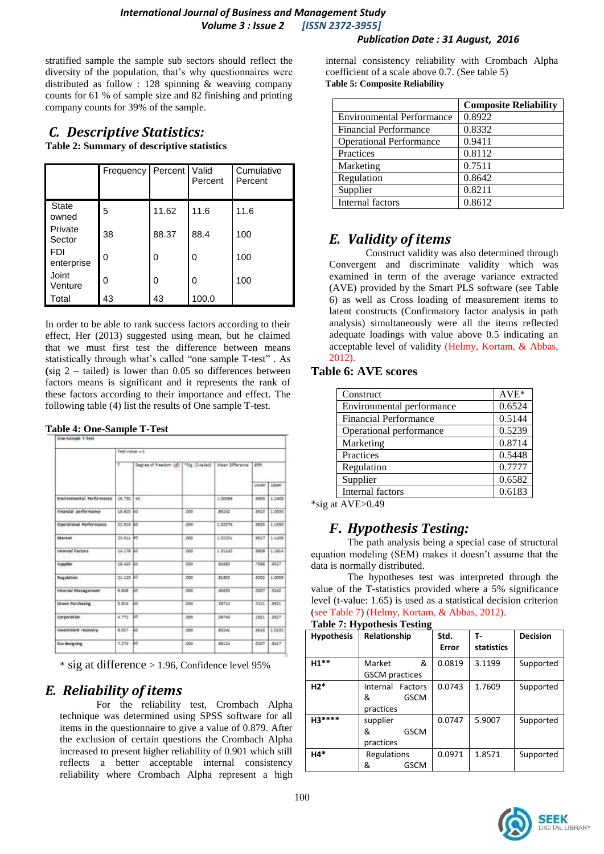#### *International Journal of Business and Management Study Volume 3 : Issue 2 [ISSN 2372-3955]*

#### *Publication Date : 31 August, 2016*

stratified sample the sample sub sectors should reflect the diversity of the population, that's why questionnaires were distributed as follow : 128 spinning & weaving company counts for 61 % of sample size and 82 finishing and printing company counts for 39% of the sample.

# *C. Descriptive Statistics:*

**Table 2: Summary of descriptive statistics** 

|                          | Frequency   Percent   Valid |       | Percent | Cumulative<br>Percent |
|--------------------------|-----------------------------|-------|---------|-----------------------|
| <b>State</b><br>owned    | 5                           | 11.62 | 11.6    | 11.6                  |
| Private<br>Sector        | 38                          | 88.37 | 88.4    | 100                   |
| <b>FDI</b><br>enterprise | 0                           | 0     | 0       | 100                   |
| Joint<br>Venture         | 0                           | 0     | 0       | 100                   |
| Total                    | 43                          | 43    | 100.0   |                       |

In order to be able to rank success factors according to their effect, Her (2013) suggested using mean, but he claimed that we must first test the difference between means statistically through what's called "one sample T-test". As **(**sig 2 – tailed) is lower than 0.05 so differences between factors means is significant and it represents the rank of these factors according to their importance and effect. The following table (4) list the results of One sample T-test.

|  | <b>Table 4: One-Sample T-Test</b> |  |
|--|-----------------------------------|--|
|--|-----------------------------------|--|

|                           | Test Value a 1 |                        |                  |                 |       |         |  |
|---------------------------|----------------|------------------------|------------------|-----------------|-------|---------|--|
|                           | ÷              | Degree of freedom (df) | *Sig. (2-tailed) | Maan Difference | 25%   |         |  |
|                           |                |                        |                  |                 | Lower | Upper   |  |
| Environmental Performance | DB.750         | 45                     |                  | 1,00000         | 3005  | 1.2409  |  |
| Financial performance     | 15,620 43      |                        | .noo             | 85242           | 8523  | 1.0555  |  |
| Operational Performance   | 22.015 45      |                        | 000              | 1.02978         | 3525  | 1,1950  |  |
| Market                    | 23.811 43      |                        | :000             | 1.02231         | 8817  | 1.1438  |  |
| Internal Factors          | 14.178 43      |                        | 000              | 1.81143         | 3505  | 1.181.4 |  |
| <b>Guazdier</b>           | 18.037 33      |                        | 000              | 34563           | .7586 | 9327    |  |
| <b>Regulation</b>         | 21.120 43      |                        | 200              | 81803           | 8502  | 1,0059  |  |
| Internal Management       | 6.941          | A/S                    | .DOO             | 40435           | .2627 | 3242    |  |
| Green Parchiolog          | 5.824          | W3                     | 1000             | 39712           | .3221 | 5521    |  |
| Earporation               | 4.771          | lаз                    | DOO              | 96745           | .1821 | \$527   |  |
| Investment recovery       | 8.027          | 48                     | 000              | 85242           | 6919  | 1.0133  |  |
| fico designing            | 7.274          | Little                 | 000              | 68174           | 4207  | 8417    |  |

\* sig at difference > 1.96, Confidence level 95%

# *E. Reliability of items*

For the reliability test, Crombach Alpha technique was determined using SPSS software for all items in the questionnaire to give a value of 0.879. After the exclusion of certain questions the Crombach Alpha increased to present higher reliability of 0.901 which still reflects a better acceptable internal consistency reliability where Crombach Alpha represent a high

internal consistency reliability with Crombach Alpha coefficient of a scale above 0.7. (See table 5) **Table 5: Composite Reliability** 

|                                  | <b>Composite Reliability</b> |
|----------------------------------|------------------------------|
| <b>Environmental Performance</b> | 0.8922                       |
| <b>Financial Performance</b>     | 0.8332                       |
| <b>Operational Performance</b>   | 0.9411                       |
| Practices                        | 0.8112                       |
| Marketing                        | 0.7511                       |
| Regulation                       | 0.8642                       |
| Supplier                         | 0.8211                       |
| Internal factors                 | 0.8612                       |

# *E. Validity of items*

Construct validity was also determined through Convergent and discriminate validity which was examined in term of the average variance extracted (AVE) provided by the Smart PLS software (see Table 6) as well as Cross loading of measurement items to latent constructs (Confirmatory factor analysis in path analysis) simultaneously were all the items reflected adequate loadings with value above 0.5 indicating an acceptable level of validity (Helmy, Kortam, & Abbas, 2012).

#### **Table 6: AVE scores**

| Construct                    | $AVE*$ |
|------------------------------|--------|
| Environmental performance    | 0.6524 |
| <b>Financial Performance</b> | 0.5144 |
| Operational performance      | 0.5239 |
| Marketing                    | 0.8714 |
| Practices                    | 0.5448 |
| Regulation                   | 0.7777 |
| Supplier                     | 0.6582 |
| Internal factors             | 0.6183 |
| $\cdots$                     |        |

\*sig at AVE>0.49

## *F. Hypothesis Testing:*

The path analysis being a special case of structural equation modeling (SEM) makes it doesn't assume that the data is normally distributed.

The hypotheses test was interpreted through the value of the T-statistics provided where a 5% significance level (t-value: 1.65) is used as a statistical decision criterion (see Table 7) (Helmy, Kortam, & Abbas, 2012).

|  |  |  |  | <b>Table 7: Hypothesis Testing</b> |
|--|--|--|--|------------------------------------|
|--|--|--|--|------------------------------------|

|                   |                       |   |        | т.         |                 |
|-------------------|-----------------------|---|--------|------------|-----------------|
| <b>Hypothesis</b> | Relationship          |   | Std.   |            | <b>Decision</b> |
|                   |                       |   | Error  | statistics |                 |
| $H1**$            | Market                | & | 0.0819 | 3.1199     |                 |
|                   |                       |   |        |            | Supported       |
|                   | <b>GSCM</b> practices |   |        |            |                 |
| $H2*$             | Internal<br>Factors   |   | 0.0743 | 1.7609     | Supported       |
|                   | <b>GSCM</b><br>&      |   |        |            |                 |
|                   | practices             |   |        |            |                 |
| $H3***$           | supplier              |   | 0.0747 | 5.9007     | Supported       |
|                   | <b>GSCM</b><br>&      |   |        |            |                 |
|                   | practices             |   |        |            |                 |
| $H4*$             | Regulations           |   | 0.0971 | 1.8571     | Supported       |
|                   | &<br><b>GSCM</b>      |   |        |            |                 |